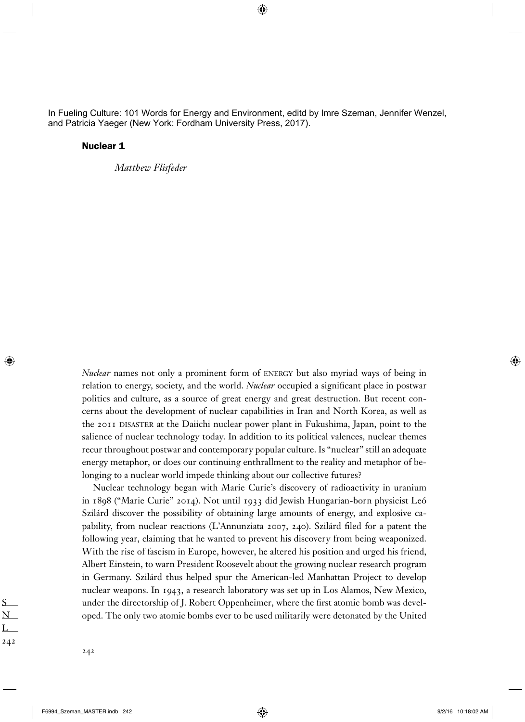In Fueling Culture: 101 Words for Energy and Environment, editd by Imre Szeman, Jennifer Wenzel, and Patricia Yaeger (New York: Fordham University Press, 2017).

 $\bigoplus$ 

## Nuclear 1

*Matthew Flisfeder*

*Nuclear* names not only a prominent form of ENERGY but also myriad ways of being in relation to energy, society, and the world. *Nuclear* occupied a significant place in postwar politics and culture, as a source of great energy and great destruction. But recent concerns about the development of nuclear capabilities in Iran and North Korea, as well as the 2011 DISASTER at the Daiichi nuclear power plant in Fukushima, Japan, point to the salience of nuclear technology today. In addition to its political valences, nuclear themes recur throughout postwar and contemporary popular culture. Is "nuclear" still an adequate energy metaphor, or does our continuing enthrallment to the reality and metaphor of belonging to a nuclear world impede thinking about our collective futures?

Nuclear technology began with Marie Curie's discovery of radioactivity in uranium in 1898 ("Marie Curie" 2014). Not until 1933 did Jewish Hungarian-born physicist Leó Szilárd discover the possibility of obtaining large amounts of energy, and explosive capability, from nuclear reactions (L'Annunziata 2007, 240). Szilárd filed for a patent the following year, claiming that he wanted to prevent his discovery from being weaponized. With the rise of fascism in Europe, however, he altered his position and urged his friend, Albert Einstein, to warn President Roosevelt about the growing nuclear research program in Germany. Szilárd thus helped spur the American-led Manhattan Project to develop nuclear weapons. In 1943, a research laboratory was set up in Los Alamos, New Mexico, under the directorship of J. Robert Oppenheimer, where the first atomic bomb was developed. The only two atomic bombs ever to be used militarily were detonated by the United

S N L 242

⊕

⊕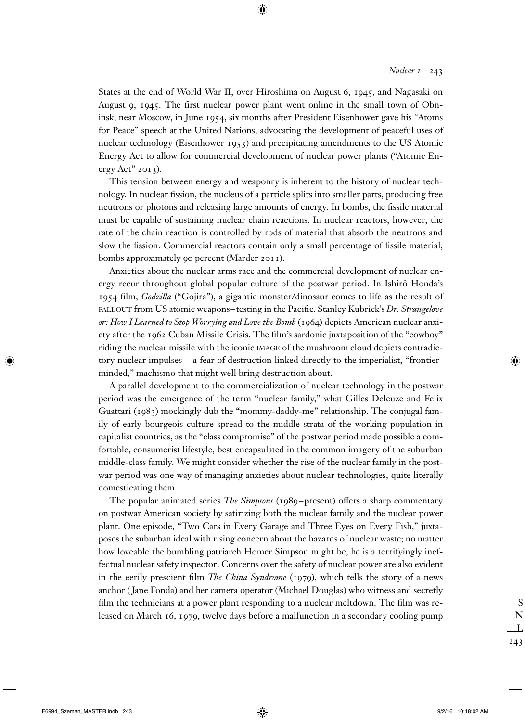## *Nuclear 1* 243

States at the end of World War II, over Hiroshima on August 6, 1945, and Nagasaki on August 9, 1945. The first nuclear power plant went online in the small town of Obninsk, near Moscow, in June 1954, six months after President Eisenhower gave his "Atoms for Peace" speech at the United Nations, advocating the development of peaceful uses of nuclear technology (Eisenhower 1953) and precipitating amendments to the US Atomic Energy Act to allow for commercial development of nuclear power plants ("Atomic Energy Act" 2013).

 $\bigoplus$ 

This tension between energy and weaponry is inherent to the history of nuclear technology. In nuclear fission, the nucleus of a particle splits into smaller parts, producing free neutrons or photons and releasing large amounts of energy. In bombs, the fissile material must be capable of sustaining nuclear chain reactions. In nuclear reactors, however, the rate of the chain reaction is controlled by rods of material that absorb the neutrons and slow the fission. Commercial reactors contain only a small percentage of fissile material, bombs approximately 90 percent (Marder 2011).

Anxieties about the nuclear arms race and the commercial development of nuclear energy recur throughout global popular culture of the postwar period. In Ishirô Honda's 1954 fi lm, *Godzilla* ("Gojira"), a gigantic monster/dinosaur comes to life as the result of FALLOUT from US atomic weapons–testing in the Pacific. Stanley Kubrick's *Dr. Strangelove or: How I Learned to Stop Worrying and Love the Bomb* (1964) depicts American nuclear anxiety after the 1962 Cuban Missile Crisis. The film's sardonic juxtaposition of the "cowboy" riding the nuclear missile with the iconic IMAGE of the mushroom cloud depicts contradictory nuclear impulses—a fear of destruction linked directly to the imperialist, "frontierminded," machismo that might well bring destruction about.

A parallel development to the commercialization of nuclear technology in the postwar period was the emergence of the term "nuclear family," what Gilles Deleuze and Felix Guattari (1983) mockingly dub the "mommy-daddy-me" relationship. The conjugal family of early bourgeois culture spread to the middle strata of the working population in capitalist countries, as the "class compromise" of the postwar period made possible a comfortable, consumerist lifestyle, best encapsulated in the common imagery of the suburban middle-class family. We might consider whether the rise of the nuclear family in the postwar period was one way of managing anxieties about nuclear technologies, quite literally domesticating them.

The popular animated series *The Simpsons* (1989–present) offers a sharp commentary on postwar American society by satirizing both the nuclear family and the nuclear power plant. One episode, "Two Cars in Every Garage and Three Eyes on Every Fish," juxtaposes the suburban ideal with rising concern about the hazards of nuclear waste; no matter how loveable the bumbling patriarch Homer Simpson might be, he is a terrifyingly ineffectual nuclear safety inspector. Concerns over the safety of nuclear power are also evident in the eerily prescient film *The China Syndrome* (1979), which tells the story of a news anchor ( Jane Fonda) and her camera operator (Michael Douglas) who witness and secretly film the technicians at a power plant responding to a nuclear meltdown. The film was released on March 16, 1979, twelve days before a malfunction in a secondary cooling pump

⊕

⊕